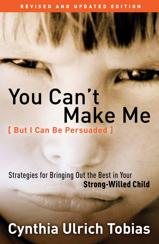# You Can't Make Me [ But I Can Be Persuaded ]

**Strategies for Bringing Out the Best in Your Strong-Willed Child** 

# **Cynthia Ulrich Tobias**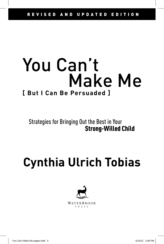## You Can't Make Me **[ But I Can Be Persuaded ]**

Strategies for Bringing Out the Best in Your Strong-Willed Child

# **Cynthia Ulrich Tobias**

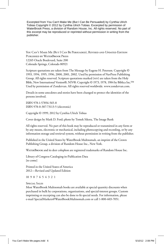Excerpted from You Can't Make Me (But I Can Be Persuaded) by Cynthia Ulrich Tobias Copyright © 2012 by Cynthia Ulrich Tobias. Excerpted by permission of WaterBrook Press, a division of Random House, Inc. All rights reserved. No part of this excerpt may be reproduced or reprinted without permission in writing from the publisher.

You Can't Make Me (But I Can Be Persuaded), Revised and Updated Edition Published by WaterBrook Press 12265 Oracle Boulevard, Suite 200 Colorado Springs, Colorado 80921

Scripture quotations are taken from The Message by Eugene H. Peterson. Copyright © 1993, 1994, 1995, 1996, 2000, 2001, 2002. Used by permission of NavPress Publishing Group. All rights reserved. Scripture quotations marked (niv) are taken from the Holy Bible, New International Version®, NIV®. Copyright © 1973, 1978, 1984 by Biblica Inc.™ Used by permission of Zondervan. All rights reserved worldwide. www.zondervan.com.

Details in some anecdotes and stories have been changed to protect the identities of the persons involved.

ISBN 978-1-57856-565-8 ISBN 978-0-307-73113-5 (electronic)

Copyright © 1999, 2012 by Cynthia Ulrich Tobias

Cover design by Mark D. Ford; photo by Tomek Sikora, The Image Bank

All rights reserved. No part of this book may be reproduced or transmitted in any form or by any means, electronic or mechanical, including photocopying and recording, or by any information storage and retrieval system, without permission in writing from the publisher.

Published in the United States by WaterBrook Multnomah, an imprint of the Crown Publishing Group, a division of Random House Inc., New York.

WaterBrook and its deer colophon are registered trademarks of Random House Inc.

Library of Congress Cataloging-in-Publication Data [to come]

Printed in the United States of America 2012—Revised and Updated Edition

10 9 8 7 6 5 4 3 2 1

Special Sales

Most WaterBrook Multnomah books are available at special quantity discounts when purchased in bulk by corporations, organizations, and special-interest groups. Custom imprinting or excerpting can also be done to fit special needs. For information, please e-mail SpecialMarkets@WaterBrookMultnomah.com or call 1-800-603-7051.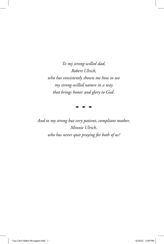*To my strong-willed dad, Robert Ulrich, who has consistently shown me how to use my strong-willed nature in a way that brings honor and glory to God.*

 $\rightarrow$  +  $\rightarrow$ 

*And to my strong but very patient, compliant mother, Minnie Ulrich, who has never quit praying for both of us!*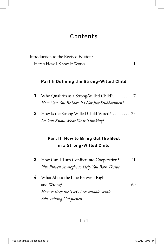### Contents

| Introduction to the Revised Edition: |  |
|--------------------------------------|--|
|                                      |  |

### **Part I: Defining the Strong-Willed Child**

| How Can You Be Sure It's Not Just Stubbornness? |  |
|-------------------------------------------------|--|

**2** How Is the Strong-Willed Child Wired? . . . . . . . . 23 *Do You Know What We're Thinking?*

### **Part II: How to Bring Out the Best in a Strong-Willed Child**

**3** How Can I Turn Conflict into Cooperation? . . . . . 41 *Five Proven Strategies to Help You Both Thrive*

| 4 What About the Line Between Right   |  |
|---------------------------------------|--|
|                                       |  |
| How to Keep the SWC Accountable While |  |
| <b>Still Valuing Uniqueness</b>       |  |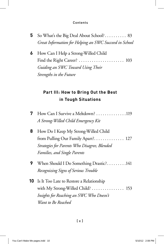#### Contents

- **5** So What's the Big Deal About School? . . . . . . . . . 83 *Great Information for Helping an SWC Succeed in School*
- **6** How Can I Help a Strong-Willed Child Find the Right Career? . . 103 *Guiding an SWC Toward Using Their Strengths in the Future*

### **Part III: How to Bring Out the Best in Tough Situations**

|      | How Can I Survive a Meltdown? 119            |
|------|----------------------------------------------|
|      | A Strong-Willed Child Emergency Kit          |
| 8    | How Do I Keep My Strong-Willed Child         |
|      |                                              |
|      | Strategies for Parents Who Disagree, Blended |
|      | Families, and Single Parents                 |
| 9.   | When Should I Do Something Drastic?141       |
|      | Recognizing Signs of Serious Trouble         |
| 10 - | Is It Too Late to Restore a Relationship     |
|      | with My Strong-Willed Child?  153            |
|      | Insights for Reaching an SWC Who Doesn't     |
|      | Want to Be Reached                           |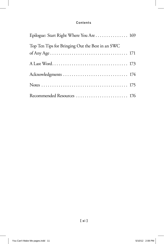#### Contents

| Epilogue: Start Right Where You Are 169          |  |
|--------------------------------------------------|--|
| Top Ten Tips for Bringing Out the Best in an SWC |  |
|                                                  |  |
|                                                  |  |
|                                                  |  |
| Recommended Resources  176                       |  |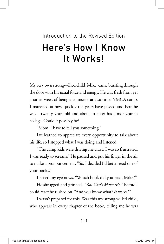### Introduction to the Revised Edition Here's How I Know It Works!

My very own strong-willed child, Mike, came bursting through the door with his usual force and energy. He was fresh from yet another week of being a counselor at a summer YMCA camp. I marveled at how quickly the years have passed and here he was—twenty years old and about to enter his junior year in college. Could it possibly be?

"Mom, I have to tell you something."

I've learned to appreciate every opportunity to talk about his life, so I stopped what I was doing and listened.

"The camp kids were driving me crazy. I was so frustrated, I was ready to scream." He paused and put his finger in the air to make a pronouncement. "So, I decided I'd better read one of your books."

I raised my eyebrows. "Which book did you read, Mike?"

He shrugged and grinned. *"You Can't Make Me."* Before I could react he rushed on. "And you know what? *It works!* "

I wasn't prepared for this. Was this my strong-willed child, who appears in every chapter of the book, telling me he was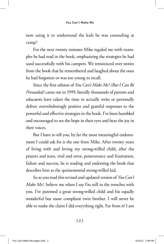now using it to understand the kids he was counseling at camp?

For the next twenty minutes Mike regaled me with examples he had read in the book, emphasizing the strategies he had used successfully with his campers. We reminisced over stories from the book that he remembered and laughed about the ones he had forgotten or was too young to recall.

Since the first edition of *You Can't Make Me! (But I Can Be Persuaded)* came out in 1999, literally thousands of parents and educators have taken the time to actually write or personally deliver overwhelmingly positive and grateful responses to the powerful and effective strategies in the book. I've been humbled and encouraged to see the hope in their eyes and hear the joy in their voices.

But I have to tell you, by far the most meaningful endorsement I could ask for is the one from Mike. After twenty years of living with and loving my strong-willed child, after the prayers and tears, trial and error, perseverance and frustration, failure and success, he is reading and endorsing the book that describes him as the quintessential strong-willed kid.

So as you read this revised and updated version of *You Can't Make Me!,* believe me when I say I'm still in the trenches with you. I've parented a great strong-willed child and his equally wonderful but more compliant twin brother. I will never be able to make the claim I did everything right. Far from it! I am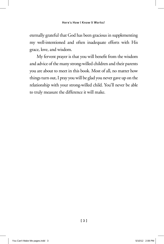eternally grateful that God has been gracious in supplementing my well-intentioned and often inadequate efforts with His grace, love, and wisdom.

My fervent prayer is that you will benefit from the wisdom and advice of the many strong-willed children and their parents you are about to meet in this book. Most of all, no matter how things turn out, I pray you will be glad you never gave up on the relationship with your strong-willed child. You'll never be able to truly measure the difference it will make.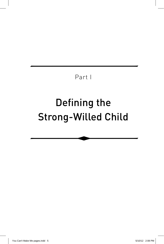Part I

n

# Strong-Willed Child Defining the Strong-Willed Child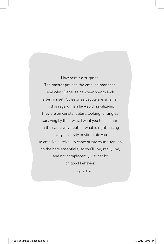Now here's a surprise:<br>The master praised the crooked manager!<br>And why? Because he knew how to look<br>after himself. Streetwise people are smarter<br>in this regard than law-abiding citizens.<br>They are on constant alert, looking Now here's a surprise: The master praised the crooked manager! And why? Because he knew how to look after himself. Streetwise people are smarter in this regard than law-abiding citizens. They are on constant alert, looking for angles, surviving by their wits. I want you to be smart in the same way—but for what is right—using every adversity to stimulate you to creative survival, to concentrate your attention on the bare essentials, so you'll live, really live, and not complacently just get by on good behavior.

—Luke 16:8–9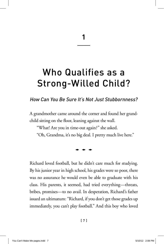## Who Qualifies as a Strong-Willed Child?

### *How Can You Be Sure It's Not Just Stubbornness?*

A grandmother came around the corner and found her grandchild sitting on the floor, leaning against the wall.

"What! Are you in time-out again?" she asked.

"Oh, Grandma, it's no big deal. I pretty much live here."

 $\rightarrow$   $\rightarrow$   $\rightarrow$ 

Richard loved football, but he didn't care much for studying. By his junior year in high school, his grades were so poor, there was no assurance he would even be able to graduate with his class. His parents, it seemed, had tried everything—threats, bribes, promises—to no avail. In desperation, Richard's father issued an ultimatum: "Richard, if you don't get those grades up immediately, you can't play football." And this boy who loved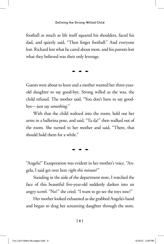football as much as life itself squared his shoulders, faced his dad, and quietly said, "Then forget football." And everyone lost. Richard lost what he cared about most, and his parents lost what they believed was their only leverage.

 $\rightarrow$  +  $\rightarrow$ 

Guests were about to leave and a mother wanted her three-yearold daughter to say good-bye. Strong willed as she was, the child refused. The mother said, "You don't have to say goodbye—just say *something.*"

With that the child waltzed into the room, held out her arms in a ballerina pose, and said, "Ta da!" then walked out of the room. She turned to her mother and said, "There, that should hold them for a while."

 $\rightarrow$  +  $\rightarrow$ 

"Angela!" Exasperation was evident in her mother's voice. "Angela, I said get over here *right this minute*!"

Standing in the aisle of the department store, I watched the face of this beautiful five-year-old suddenly darken into an angry scowl. "No!" she cried. "I want to go see the toys *now*!"

Her mother looked exhausted as she grabbed Angela's hand and began to drag her screaming daughter through the store.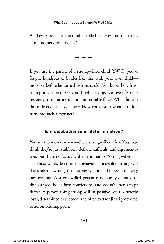As they passed me, the mother rolled her eyes and muttered, "Just another ordinary day."

 $\rightarrow$   $\rightarrow$   $\rightarrow$ 

If you are the parent of a strong-willed child (SWC), you've fought hundreds of battles like this with your own child probably before he turned two years old. You know how frustrating it can be to see your bright, loving, creative offspring instantly turn into a stubborn, immovable force. What did you do to deserve such defiance? How could your wonderful kid turn into such a monster?

#### **Is it disobedience or determination?**

You see them everywhere—these strong-willed kids. You may think they're just stubborn, defiant, difficult, and argumentative. But that's not actually the definition of "strong-willed" at all. Those words describe bad behaviors as a result of strong will that's taken a wrong turn. Strong will, in and of itself, is a very positive trait. A strong-willed person is not easily daunted or discouraged, holds firm convictions, and doesn't often accept defeat. A person using strong will in positive ways is fiercely loyal, determined to succeed, and often extraordinarily devoted to accomplishing goals.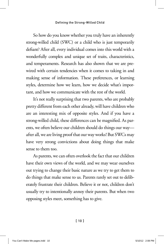So how do you know whether you truly have an inherently strong-willed child (SWC) or a child who is just temporarily defiant? After all, every individual comes into this world with a wonderfully complex and unique set of traits, characteristics, and temperaments. Research has also shown that we are prewired with certain tendencies when it comes to taking in and making sense of information. These preferences, or learning styles, determine how we learn, how we decide what's important, and how we communicate with the rest of the world.

It's not really surprising that two parents, who are probably pretty different from each other already, will have children who are an interesting mix of opposite styles. And if you have a strong-willed child, these differences can be magnified. As parents, we often believe our children should do things our way after all, we are living proof that our way works! But SWCs may have very strong convictions about doing things that make sense to them too.

As parents, we can often overlook the fact that our children have their own views of the world, and we may wear ourselves out trying to change their basic nature as we try to get them to do things that make sense to us. Parents rarely set out to deliberately frustrate their children. Believe it or not, children don't usually try to intentionally annoy their parents. But when two opposing styles meet, something has to give.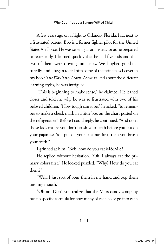A few years ago on a flight to Orlando, Florida, I sat next to a frustrated parent. Bob is a former fighter pilot for the United States Air Force. He was serving as an instructor as he prepared to retire early. I learned quickly that he had five kids and that two of them were driving him crazy. We laughed good-naturedly, and I began to tell him some of the principles I cover in my book *The Way They Learn.* As we talked about the different learning styles, he was intrigued.

"This is beginning to make sense," he claimed. He leaned closer and told me why he was so frustrated with two of his beloved children. "How tough can it be," he asked, "to remember to make a check mark in a little box on the chart posted on the refrigerator?" Before I could reply, he continued. "And don't those kids realize you don't brush your teeth before you put on your pajamas? You put on your pajamas first, then you brush your teeth."

I grinned at him. "Bob, how do you eat M&M'S?"

He replied without hesitation. "Oh, I always eat the primary colors first." He looked puzzled. "Why? How do you eat them?"

"Well, I just sort of pour them in my hand and pop them into my mouth."

"Oh no! Don't you realize that the Mars candy company has no specific formula for how many of each color go into each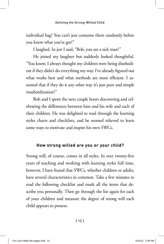individual bag? You can't just consume them randomly before you know what you've got!"

I laughed. In jest I said, "Bob, you are a sick man!"

He joined my laughter but suddenly looked thoughtful. "You know, I always thought my children were being disobedient if they didn't do everything my way. I've already figured out what works best and what methods are most efficient. I assumed that if they do it any other way it's just pure and simple insubordination!"

Bob and I spent the next couple hours discovering and celebrating the differences between him and his wife and each of their children. He was delighted to read through the learning styles charts and checklists, and he seemed relieved to learn some ways to motivate and inspire his own SWCs.

### **How strong willed are you or your child?**

Strong will, of course, comes in all styles. In over twenty-five years of teaching and working with learning styles full time, however, I have found that SWCs, whether children or adults, have several characteristics in common. Take a few minutes to read the following checklist and mark all the items that describe you personally. Then go through the list again for each of your children and measure the degree of strong will each child appears to possess.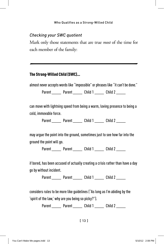### *Checking your SWC quotient*

Mark only those statements that are true *most* of the time for each member of the family: Checking your SWC quotient<br>Mark only those statements that are true *most* of the time for<br>each member of the family:

### The Strong-Willed Child (SWC)…

almost never accepts words like "impossible" or phrases like "it can't be done."

Parent Parent Child 1 Child 2

can move with lightning speed from being a warm, loving presence to being a cold, immovable force.

Parent Parent Child 1 Child 2

may argue the point into the ground, sometimes just to see how far into the ground the point will go.

Parent Parent Parent Child 1 Child 2

if bored, has been accused of actually creating a crisis rather than have a day go by without incident.

Parent \_\_\_\_\_\_ Parent \_\_\_\_\_\_ Child 1 \_\_\_\_\_ Child 2 \_\_\_\_\_

considers rules to be more like guidelines ("As long as I'm abiding by the 'spirit of the law,' why are you being so picky?").

Parent Parent Child 1 Child 2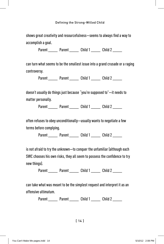shows great creativity and resourcefulness—seems to always find a way to accomplish a goal.

Parent Parent Child 1 Child 2

can turn what seems to be the smallest issue into a grand crusade or a raging controversy.

Parent Parent Child 1 Child 2

doesn't usually do things just because "you're supposed to"—it needs to matter personally.

Parent Parent Child 1 Child 2

often refuses to obey unconditionally—usually wants to negotiate a few terms before complying.

Parent Parent Child 1 Child 2

is not afraid to try the unknown—to conquer the unfamiliar (although each SWC chooses his own risks, they all seem to possess the confidence to try new things).

Parent Parent Child 1 Child 2

can take what was meant to be the simplest request and interpret it as an offensive ultimatum.

Parent Parent Child 1 Child 2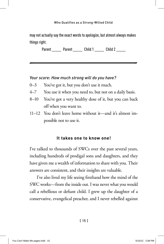may not actually say the exact words to apologize, but almost always makes<br>
things right.<br>
Parent Parent Child 1 Child 2 things right.

Parent Parent Child 1 Child 2

#### *Your score: How much strong will do you have?*

- 0–3 You've got it, but you don't use it much.
- 4–7 You use it when you need to, but not on a daily basis.
- 8–10 You've got a very healthy dose of it, but you can back off when you want to.
- 11–12 You don't leave home without it—and it's almost impossible not to use it.

#### **It takes one to know one!**

I've talked to thousands of SWCs over the past several years, including hundreds of prodigal sons and daughters, and they have given me a wealth of information to share with you. Their answers are consistent, and their insights are valuable.

I've also lived my life seeing firsthand how the mind of the SWC works—from the inside out. I was never what you would call a rebellious or defiant child. I grew up the daughter of a conservative, evangelical preacher, and I never rebelled against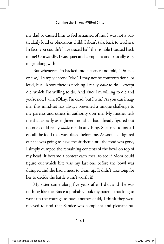my dad or caused him to feel ashamed of me. I was not a particularly loud or obnoxious child. I didn't talk back to teachers. In fact, you couldn't have traced half the trouble I caused back to me! Outwardly, I was quiet and compliant and basically easy to get along with.

But whenever I'm backed into a corner and told, "Do it… or else," I simply choose "else." I may not be confrontational or loud, but I know there is nothing I really *have* to do—except die, which I'm willing to do. And since I'm willing to die and you're not, I win. (Okay, I'm dead, but I win.) As you can imagine, this mind-set has always presented a unique challenge to my parents and others in authority over me. My mother tells me that as early as eighteen months I had already figured out no one could really *make* me do anything. She tried to insist I eat all the food that was placed before me. As soon as I figured out she was going to have me sit there until the food was gone, I simply dumped the remaining contents of the bowl on top of my head. It became a contest each meal to see if Mom could figure out which bite was my last one before the bowl was dumped and she had a mess to clean up. It didn't take long for her to decide the battle wasn't worth it!

My sister came along five years after I did, and she was nothing like me. Since it probably took my parents that long to work up the courage to have another child, I think they were relieved to find that Sandee was compliant and pleasant na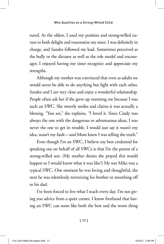tured. As the oldest, I used my position and strong-willed nature to both delight and traumatize my sister. I was definitely in charge, and Sandee followed my lead. Sometimes perceived as the bully or the dictator as well as the role model and encourager, I enjoyed having my sister recognize and appreciate my strengths.

Although my mother was convinced that even as adults we would never be able to do anything but fight with each other, Sandee and I are very close and enjoy a wonderful relationship. People often ask her if she grew up resenting me because I was such an SWC. She sweetly smiles and claims it was actually a blessing. "You see," she explains, "I loved it. Since Cindy was always the one with the dangerous or adventurous ideas, I was never the one to get in trouble. I would just say it wasn't my idea, wasn't my fault—and Mom knew I was telling the truth."

Even though I'm an SWC, I believe my best credential for speaking out on behalf of all SWCs is that I'm the parent of a strong-willed son. (My mother denies she prayed this would happen so I would know what it was like!) My son Mike was a typical SWC. One moment he was loving and thoughtful, the next he was relentlessly terrorizing his brother or mouthing off to his dad.

I've been forced to live what I teach every day. I'm not giving you advice from a quiet corner. I know firsthand that having an SWC can seem like both the best and the worst thing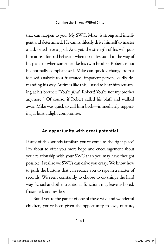that can happen to you. My SWC, Mike, is strong and intelligent and determined. He can ruthlessly drive himself to master a task or achieve a goal. And yet, the strength of his will puts him at risk for bad behavior when obstacles stand in the way of his plans or when someone like his twin brother, Robert, is not his normally compliant self. Mike can quickly change from a focused analytic to a frustrated, impatient person, loudly demanding his way. At times like this, I used to hear him screaming at his brother: "You're *fired,* Robert! You're not my brother anymore!" Of course, if Robert called his bluff and walked away, Mike was quick to call him back—immediately suggesting at least a slight compromise.

### **An opportunity with great potential**

If any of this sounds familiar, you've come to the right place! I'm about to offer you more hope and encouragement about your relationship with your SWC than you may have thought possible. I realize we SWCs can drive you crazy. We know how to push the buttons that can reduce you to rage in a matter of seconds. We seem constantly to choose to do things the hard way. School and other traditional functions may leave us bored, frustrated, and restless.

But if you're the parent of one of these wild and wonderful children, you've been given the opportunity to love, nurture,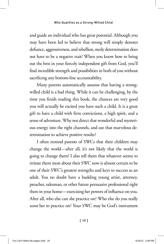and guide an individual who has great potential. Although you may have been led to believe that strong will simply denotes defiance, aggressiveness, and rebellion, steely determination does not have to be a negative trait! When you know how to bring out the best in your fiercely independent gift from God, you'll find incredible strength and possibilities in both of you without sacrificing any bottom-line accountability.

Many parents automatically assume that having a strongwilled child is a bad thing. While it can be challenging, by the time you finish reading this book, the chances are very good you will actually be excited you have such a child. It is a great gift to have a child with firm convictions, a high spirit, and a sense of adventure. Why not direct that wonderful and mysterious energy into the right channels, and use that marvelous determination to achieve positive results?

I often remind parents of SWCs that their children may change the world—after all, it's not likely that the world is going to change them! I also tell them that whatever seems to irritate them most about their SWC now is almost certain to be one of their SWC's greatest strengths and keys to success as an adult. You no doubt have a budding young artist, attorney, preacher, salesman, or other future persuasive professional right there in your home—exercising her powers of influence on you. After all, who else can she practice on? Who else do you really *want* her to practice on? Your SWC may be God's instrument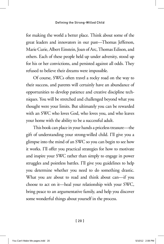for making the world a better place. Think about some of the great leaders and innovators in our past—Thomas Jefferson, Marie Curie, Albert Einstein, Joan of Arc, Thomas Edison, and others. Each of these people held up under adversity, stood up for his or her convictions, and persisted against all odds. They refused to believe their dreams were impossible.

Of course, SWCs often travel a rocky road on the way to their success, and parents will certainly have an abundance of opportunities to develop patience and creative discipline techniques. You will be stretched and challenged beyond what you thought were your limits. But ultimately you can be rewarded with an SWC who loves God, who loves you, and who leaves your home with the ability to be a successful adult.

This book can place in your hands a priceless treasure—the gift of understanding your strong-willed child. I'll give you a glimpse into the mind of an SWC so you can begin to see how it works. I'll offer you practical strategies for how to motivate and inspire your SWC rather than simply to engage in power struggles and pointless battles. I'll give you guidelines to help you determine whether you need to do something drastic. What you are about to read and think about can—if you choose to act on it—heal your relationship with your SWC, bring peace to an argumentative family, and help you discover some wonderful things about yourself in the process.